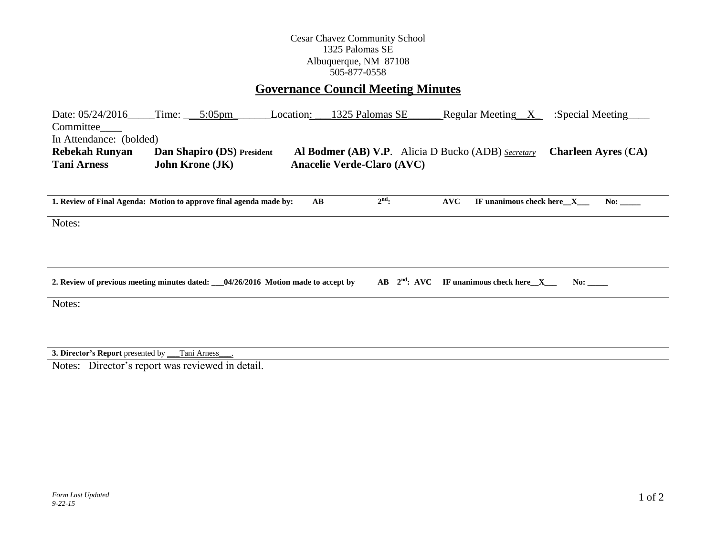## Cesar Chavez Community School 1325 Palomas SE Albuquerque, NM 87108 505-877-0558

## **Governance Council Meeting Minutes**

| Date: 05/24/2016        | Time:                  | $5:05 \text{pm}$                  | Location: | 1325 Palomas SE                                                      | Regular Meeting $X$ | :Special Meeting           |
|-------------------------|------------------------|-----------------------------------|-----------|----------------------------------------------------------------------|---------------------|----------------------------|
| Committee               |                        |                                   |           |                                                                      |                     |                            |
| In Attendance: (bolded) |                        |                                   |           |                                                                      |                     |                            |
| <b>Rebekah Runyan</b>   |                        | <b>Dan Shapiro (DS)</b> President |           | <b>Al Bodmer (AB) V.P.</b> Alicia D Bucko (ADB) $\frac{Secretary}{}$ |                     | <b>Charleen Ayres (CA)</b> |
| <b>Tani Arness</b>      | <b>John Krone (JK)</b> |                                   |           | <b>Anacelie Verde-Claro (AVC)</b>                                    |                     |                            |

| 1. Review of Final Agenda: Motion to approve final agenda made by: | AB | $2nd$ : | $\bf AVC$ | IF unanimous check here X | No: |
|--------------------------------------------------------------------|----|---------|-----------|---------------------------|-----|
| Notes:                                                             |    |         |           |                           |     |
|                                                                    |    |         |           |                           |     |

| 2. Review of previous meeting minutes dated: $\_\_04/26/2016$ Motion made to accept by AB 2 <sup>nd</sup> : AVC IF unanimous check here $\_\_X\_\_$ |  |  |  |
|-----------------------------------------------------------------------------------------------------------------------------------------------------|--|--|--|
|                                                                                                                                                     |  |  |  |

Notes:

**3. Director's Report** presented by \_\_\_Tani Arness\_\_\_.

Notes: Director's report was reviewed in detail.